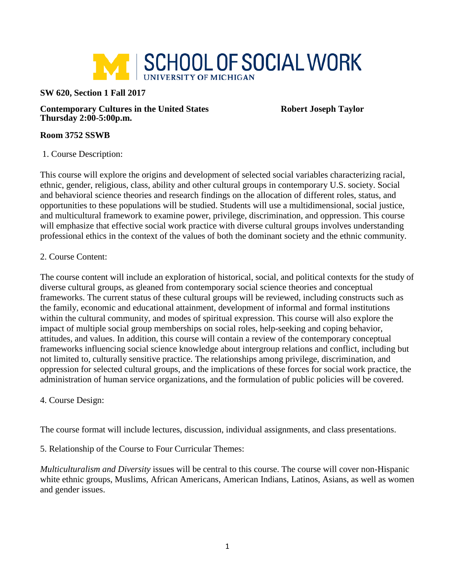

## **SW 620, Section 1 Fall 2017**

**Contemporary Cultures in the United States <b>Robert Joseph Taylor Thursday 2:00-5:00p.m.**

## **Room 3752 SSWB**

1. Course Description:

This course will explore the origins and development of selected social variables characterizing racial, ethnic, gender, religious, class, ability and other cultural groups in contemporary U.S. society. Social and behavioral science theories and research findings on the allocation of different roles, status, and opportunities to these populations will be studied. Students will use a multidimensional, social justice, and multicultural framework to examine power, privilege, discrimination, and oppression. This course will emphasize that effective social work practice with diverse cultural groups involves understanding professional ethics in the context of the values of both the dominant society and the ethnic community.

## 2. Course Content:

The course content will include an exploration of historical, social, and political contexts for the study of diverse cultural groups, as gleaned from contemporary social science theories and conceptual frameworks. The current status of these cultural groups will be reviewed, including constructs such as the family, economic and educational attainment, development of informal and formal institutions within the cultural community, and modes of spiritual expression. This course will also explore the impact of multiple social group memberships on social roles, help-seeking and coping behavior, attitudes, and values. In addition, this course will contain a review of the contemporary conceptual frameworks influencing social science knowledge about intergroup relations and conflict, including but not limited to, culturally sensitive practice. The relationships among privilege, discrimination, and oppression for selected cultural groups, and the implications of these forces for social work practice, the administration of human service organizations, and the formulation of public policies will be covered.

## 4. Course Design:

The course format will include lectures, discussion, individual assignments, and class presentations.

5. Relationship of the Course to Four Curricular Themes:

*Multiculturalism and Diversity* issues will be central to this course. The course will cover non-Hispanic white ethnic groups, Muslims, African Americans, American Indians, Latinos, Asians, as well as women and gender issues.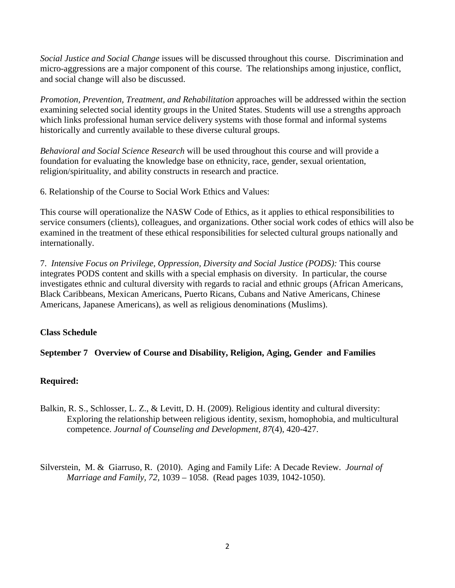*Social Justice and Social Change* issues will be discussed throughout this course. Discrimination and micro-aggressions are a major component of this course. The relationships among injustice, conflict, and social change will also be discussed.

*Promotion, Prevention, Treatment, and Rehabilitation* approaches will be addressed within the section examining selected social identity groups in the United States. Students will use a strengths approach which links professional human service delivery systems with those formal and informal systems historically and currently available to these diverse cultural groups.

*Behavioral and Social Science Research* will be used throughout this course and will provide a foundation for evaluating the knowledge base on ethnicity, race, gender, sexual orientation, religion/spirituality, and ability constructs in research and practice.

6. Relationship of the Course to Social Work Ethics and Values:

This course will operationalize the NASW Code of Ethics, as it applies to ethical responsibilities to service consumers (clients), colleagues, and organizations. Other social work codes of ethics will also be examined in the treatment of these ethical responsibilities for selected cultural groups nationally and internationally.

7.*Intensive Focus on Privilege, Oppression, Diversity and Social Justice (PODS):* This course integrates PODS content and skills with a special emphasis on diversity. In particular, the course investigates ethnic and cultural diversity with regards to racial and ethnic groups (African Americans, Black Caribbeans, Mexican Americans, Puerto Ricans, Cubans and Native Americans, Chinese Americans, Japanese Americans), as well as religious denominations (Muslims).

# **Class Schedule**

# **September 7 Overview of Course and Disability, Religion, Aging, Gender and Families**

## **Required:**

- Balkin, R. S., Schlosser, L. Z., & Levitt, D. H. (2009). Religious identity and cultural diversity: Exploring the relationship between religious identity, sexism, homophobia, and multicultural competence. *Journal of Counseling and Development, 87*(4), 420-427.
- Silverstein, M. & Giarruso, R. (2010). Aging and Family Life: A Decade Review. *Journal of Marriage and Family, 72,* 1039 – 1058. (Read pages 1039, 1042-1050).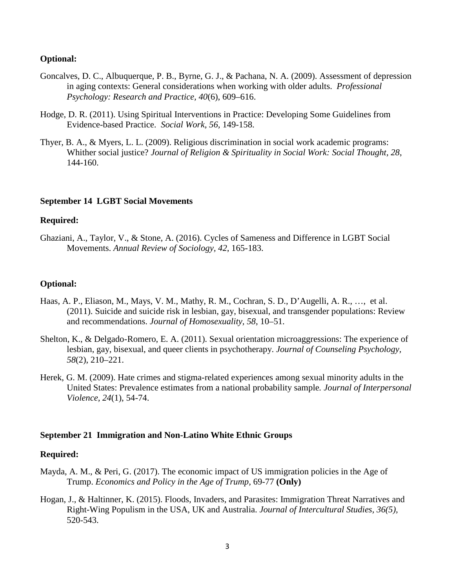## **Optional:**

- Goncalves, D. C., Albuquerque, P. B., Byrne, G. J., & Pachana, N. A. (2009). Assessment of depression in aging contexts: General considerations when working with older adults. *Professional Psychology: Research and Practice, 40*(6), 609–616.
- Hodge, D. R. (2011). Using Spiritual Interventions in Practice: Developing Some Guidelines from Evidence-based Practice. *Social Work, 56,* 149-158.
- Thyer, B. A., & Myers, L. L. (2009). Religious discrimination in social work academic programs: Whither social justice? *Journal of Religion & Spirituality in Social Work: Social Thought, 28*, 144-160.

## **September 14 LGBT Social Movements**

## **Required:**

Ghaziani, A., Taylor, V., & Stone, A. (2016). Cycles of Sameness and Difference in LGBT Social Movements. *Annual Review of Sociology, 42*, 165-183.

## **Optional:**

- Haas, A. P., Eliason, M., Mays, V. M., Mathy, R. M., Cochran, S. D., D'Augelli, A. R., …, et al. (2011). Suicide and suicide risk in lesbian, gay, bisexual, and transgender populations: Review and recommendations. *Journal of Homosexuality, 58*, 10–51.
- Shelton, K., & Delgado-Romero, E. A. (2011). Sexual orientation microaggressions: The experience of lesbian, gay, bisexual, and queer clients in psychotherapy. *Journal of Counseling Psychology, 58*(2), 210–221.
- Herek, G. M. (2009). Hate crimes and stigma-related experiences among sexual minority adults in the United States: Prevalence estimates from a national probability sample*. Journal of Interpersonal Violence, 24*(1), 54-74.

## **September 21 Immigration and Non-Latino White Ethnic Groups**

## **Required:**

- Mayda, A. M., & Peri, G. (2017). The economic impact of US immigration policies in the Age of Trump. *Economics and Policy in the Age of Trump,* 69-77 **(Only)**
- Hogan, J., & Haltinner, K. (2015). Floods, Invaders, and Parasites: Immigration Threat Narratives and Right-Wing Populism in the USA, UK and Australia. *Journal of Intercultural Studies, 36(5),* 520-543.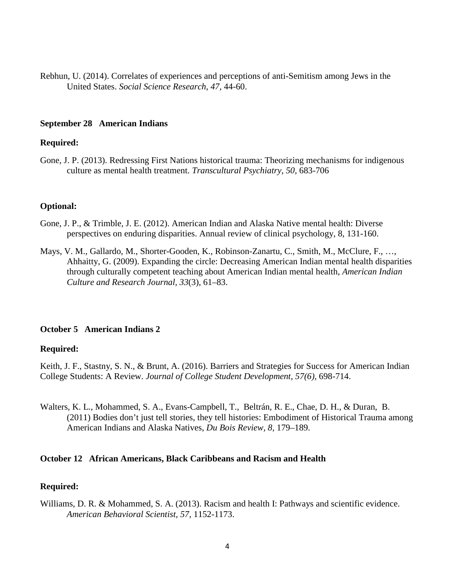Rebhun, U. (2014). Correlates of experiences and perceptions of anti-Semitism among Jews in the United States. *Social Science Research, 47,* 44-60.

## **September 28 American Indians**

## **Required:**

Gone, J. P. (2013). Redressing First Nations historical trauma: Theorizing mechanisms for indigenous culture as mental health treatment. *Transcultural Psychiatry, 50*, 683-706

## **Optional:**

- Gone, J. P., & Trimble, J. E. (2012). American Indian and Alaska Native mental health: Diverse perspectives on enduring disparities. Annual review of clinical psychology, 8, 131-160.
- Mays, V. M., Gallardo, M., Shorter-Gooden, K., Robinson-Zanartu, C., Smith, M., McClure, F., …, Ahhaitty, G. (2009). Expanding the circle: Decreasing American Indian mental health disparities through culturally competent teaching about American Indian mental health, *American Indian Culture and Research Journal, 33*(3), 61–83.

## **October 5 American Indians 2**

## **Required:**

Keith, J. F., Stastny, S. N., & Brunt, A. (2016). Barriers and Strategies for Success for American Indian College Students: A Review. *Journal of College Student Development, 57(6),* 698-714.

Walters, K. L., Mohammed, S. A., Evans-Campbell, T., Beltrán, R. E., Chae, D. H., & Duran, B. (2011) Bodies don't just tell stories, they tell histories: Embodiment of Historical Trauma among American Indians and Alaska Natives, *Du Bois Review, 8,* 179–189.

## **October 12 African Americans, Black Caribbeans and Racism and Health**

## **Required:**

Williams, D. R. & Mohammed, S. A. (2013). Racism and health I: Pathways and scientific evidence. *American Behavioral Scientist, 57,* 1152-1173.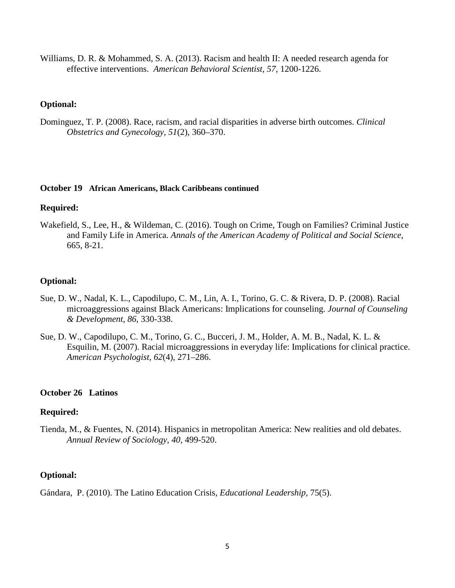Williams, D. R. & Mohammed, S. A. (2013). Racism and health II: A needed research agenda for effective interventions. *American Behavioral Scientist*, *57,* 1200-1226.

## **Optional:**

Dominguez, T. P. (2008). Race, racism, and racial disparities in adverse birth outcomes. *Clinical Obstetrics and Gynecology, 51*(2), 360–370.

## **October 19 African Americans, Black Caribbeans continued**

## **Required:**

Wakefield, S., Lee, H., & Wildeman, C. (2016). Tough on Crime, Tough on Families? Criminal Justice and Family Life in America. *Annals of the American Academy of Political and Social Science,* 665, 8-21.

## **Optional:**

- Sue, D. W., Nadal, K. L., Capodilupo, C. M., Lin, A. I., Torino, G. C. & Rivera, D. P. (2008). Racial microaggressions against Black Americans: Implications for counseling. *Journal of Counseling & Development, 86*, 330-338.
- Sue, D. W., Capodilupo, C. M., Torino, G. C., Bucceri, J. M., Holder, A. M. B., Nadal, K. L. & Esquilin, M. (2007). Racial microaggressions in everyday life: Implications for clinical practice. *American Psychologist, 62*(4), 271–286.

## **October 26 Latinos**

## **Required:**

Tienda, M., & Fuentes, N. (2014). Hispanics in metropolitan America: New realities and old debates. *Annual Review of Sociology, 40,* 499-520.

## **Optional:**

Gándara, P. (2010). The Latino Education Crisis, *Educational Leadership*, 75(5).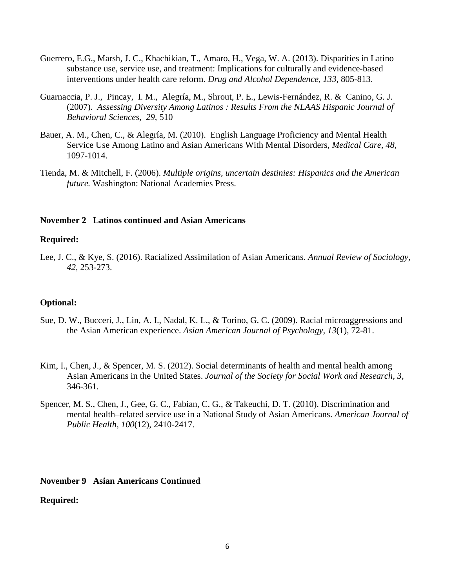- Guerrero, E.G., Marsh, J. C., Khachikian, T., Amaro, H., Vega, W. A. (2013). Disparities in Latino substance use, service use, and treatment: Implications for culturally and evidence-based interventions under health care reform. *Drug and Alcohol Dependence*, *133*, 805-813.
- Guarnaccia, P. J., Pincay, I. M., Alegría, M., Shrout, P. E., Lewis-Fernández, R. & Canino, G. J. (2007). *Assessing Diversity Among Latinos : Results From the NLAAS Hispanic Journal of Behavioral Sciences, 29,* 510
- Bauer, A. M., Chen, C., & Alegría, M. (2010). English Language Proficiency and Mental Health Service Use Among Latino and Asian Americans With Mental Disorders, *Medical Care, 48,* 1097-1014.
- Tienda, M. & Mitchell, F. (2006). *Multiple origins, uncertain destinies: Hispanics and the American future.* Washington: National Academies Press.

## **November 2 Latinos continued and Asian Americans**

## **Required:**

Lee, J. C., & Kye, S. (2016). Racialized Assimilation of Asian Americans. *Annual Review of Sociology, 42,* 253-273.

## **Optional:**

- Sue, D. W., Bucceri, J., Lin, A. I., Nadal, K. L., & Torino, G. C. (2009). Racial microaggressions and the Asian American experience. *Asian American Journal of Psychology, 13*(1), 72-81.
- Kim, I., Chen, J., & Spencer, M. S. (2012). Social determinants of health and mental health among Asian Americans in the United States. *Journal of the Society for Social Work and Research, 3*, 346-361.
- Spencer, M. S., Chen, J., Gee, G. C., Fabian, C. G., & Takeuchi, D. T. (2010). Discrimination and mental health–related service use in a National Study of Asian Americans. *American Journal of Public Health, 100*(12), 2410-2417.

## **November 9 Asian Americans Continued**

## **Required:**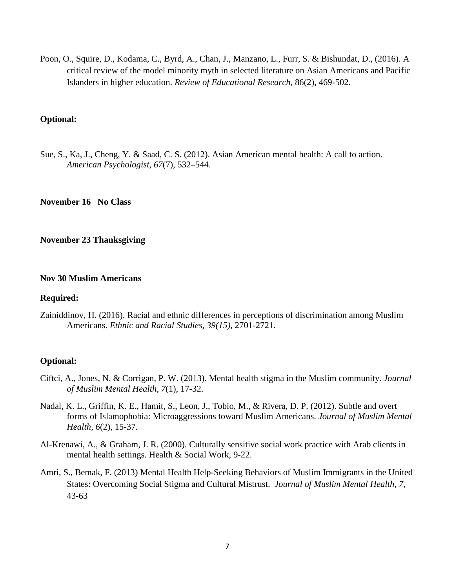Poon, O., Squire, D., Kodama, C., Byrd, A., Chan, J., Manzano, L., Furr, S. & Bishundat, D., (2016). A critical review of the model minority myth in selected literature on Asian Americans and Pacific Islanders in higher education. *Review of Educational Research,* 86(2), 469-502.

## **Optional:**

Sue, S., Ka, J., Cheng, Y. & Saad, C. S. (2012). Asian American mental health: A call to action. *American Psychologist, 67*(7), 532–544.

**November 16 No Class**

#### **November 23 Thanksgiving**

## **Nov 30 Muslim Americans**

## **Required:**

Zainiddinov, H. (2016). Racial and ethnic differences in perceptions of discrimination among Muslim Americans. *Ethnic and Racial Studies, 39(15),* 2701-2721.

## **Optional:**

- Ciftci, A., Jones, N. & Corrigan, P. W. (2013). Mental health stigma in the Muslim community. *Journal of Muslim Mental Health, 7*(1), 17-32.
- Nadal, K. L., Griffin, K. E., Hamit, S., Leon, J., Tobio, M., & Rivera, D. P. (2012). Subtle and overt forms of Islamophobia: Microaggressions toward Muslim Americans. *Journal of Muslim Mental Health, 6*(2), 15-37.
- Al-Krenawi, A., & Graham, J. R. (2000). Culturally sensitive social work practice with Arab clients in mental health settings. Health & Social Work, 9-22.
- Amri, S., Bemak, F. (2013) Mental Health Help-Seeking Behaviors of Muslim Immigrants in the United States: Overcoming Social Stigma and Cultural Mistrust. *Journal of Muslim Mental Health, 7,* 43-63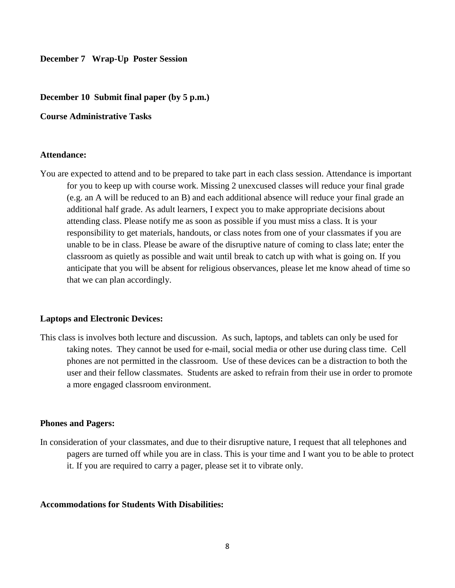#### **December 7 Wrap-Up Poster Session**

#### **December 10 Submit final paper (by 5 p.m.)**

**Course Administrative Tasks**

## **Attendance:**

You are expected to attend and to be prepared to take part in each class session. Attendance is important for you to keep up with course work. Missing 2 unexcused classes will reduce your final grade (e.g. an A will be reduced to an B) and each additional absence will reduce your final grade an additional half grade. As adult learners, I expect you to make appropriate decisions about attending class. Please notify me as soon as possible if you must miss a class. It is your responsibility to get materials, handouts, or class notes from one of your classmates if you are unable to be in class. Please be aware of the disruptive nature of coming to class late; enter the classroom as quietly as possible and wait until break to catch up with what is going on. If you anticipate that you will be absent for religious observances, please let me know ahead of time so that we can plan accordingly.

#### **Laptops and Electronic Devices:**

This class is involves both lecture and discussion. As such, laptops, and tablets can only be used for taking notes. They cannot be used for e-mail, social media or other use during class time. Cell phones are not permitted in the classroom. Use of these devices can be a distraction to both the user and their fellow classmates. Students are asked to refrain from their use in order to promote a more engaged classroom environment.

#### **Phones and Pagers:**

In consideration of your classmates, and due to their disruptive nature, I request that all telephones and pagers are turned off while you are in class. This is your time and I want you to be able to protect it. If you are required to carry a pager, please set it to vibrate only.

#### **Accommodations for Students With Disabilities:**